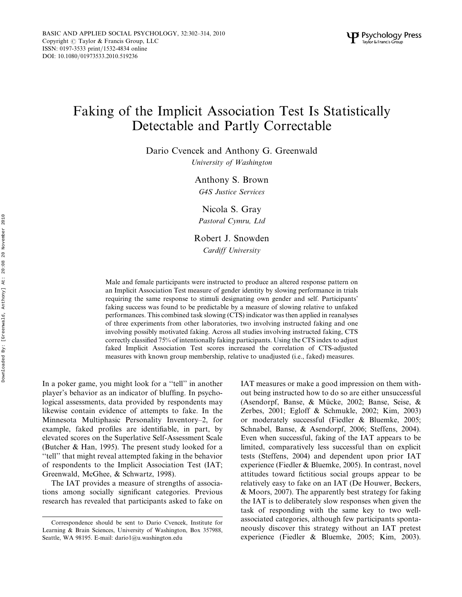# Faking of the Implicit Association Test Is Statistically Detectable and Partly Correctable

Dario Cvencek and Anthony G. Greenwald

University of Washington

Anthony S. Brown G4S Justice Services

Nicola S. Gray Pastoral Cymru, Ltd

Robert J. Snowden Cardiff University

Male and female participants were instructed to produce an altered response pattern on an Implicit Association Test measure of gender identity by slowing performance in trials requiring the same response to stimuli designating own gender and self. Participants' faking success was found to be predictable by a measure of slowing relative to unfaked performances. This combined task slowing (CTS) indicator was then applied in reanalyses of three experiments from other laboratories, two involving instructed faking and one involving possibly motivated faking. Across all studies involving instructed faking, CTS correctly classified 75% of intentionally faking participants. Using the CTS index to adjust faked Implicit Association Test scores increased the correlation of CTS-adjusted measures with known group membership, relative to unadjusted (i.e., faked) measures.

In a poker game, you might look for a ''tell'' in another player's behavior as an indicator of bluffing. In psychological assessments, data provided by respondents may likewise contain evidence of attempts to fake. In the Minnesota Multiphasic Personality Inventory–2, for example, faked profiles are identifiable, in part, by elevated scores on the Superlative Self-Assessment Scale (Butcher & Han, 1995). The present study looked for a ''tell'' that might reveal attempted faking in the behavior of respondents to the Implicit Association Test (IAT; Greenwald, McGhee, & Schwartz, 1998).

The IAT provides a measure of strengths of associations among socially significant categories. Previous research has revealed that participants asked to fake on IAT measures or make a good impression on them without being instructed how to do so are either unsuccessful (Asendorpf, Banse, & Mücke, 2002; Banse, Seise, & Zerbes, 2001; Egloff & Schmukle, 2002; Kim, 2003) or moderately successful (Fiedler & Bluemke, 2005; Schnabel, Banse, & Asendorpf, 2006; Steffens, 2004). Even when successful, faking of the IAT appears to be limited, comparatively less successful than on explicit tests (Steffens, 2004) and dependent upon prior IAT experience (Fiedler & Bluemke, 2005). In contrast, novel attitudes toward fictitious social groups appear to be relatively easy to fake on an IAT (De Houwer, Beckers, & Moors, 2007). The apparently best strategy for faking the IAT is to deliberately slow responses when given the task of responding with the same key to two wellassociated categories, although few participants spontaneously discover this strategy without an IAT pretest experience (Fiedler & Bluemke, 2005; Kim, 2003).

Correspondence should be sent to Dario Cvencek, Institute for Learning & Brain Sciences, University of Washington, Box 357988, Seattle, WA 98195. E-mail: dario1@u.washington.edu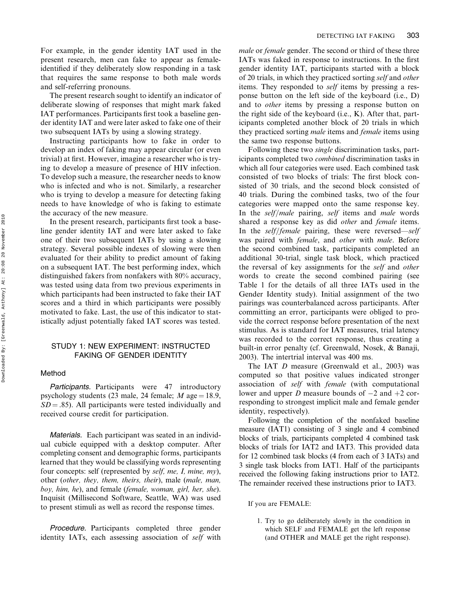For example, in the gender identity IAT used in the present research, men can fake to appear as femaleidentified if they deliberately slow responding in a task that requires the same response to both male words and self-referring pronouns.

The present research sought to identify an indicator of deliberate slowing of responses that might mark faked IAT performances. Participants first took a baseline gender identity IAT and were later asked to fake one of their two subsequent IATs by using a slowing strategy.

Instructing participants how to fake in order to develop an index of faking may appear circular (or even trivial) at first. However, imagine a researcher who is trying to develop a measure of presence of HIV infection. To develop such a measure, the researcher needs to know who is infected and who is not. Similarly, a researcher who is trying to develop a measure for detecting faking needs to have knowledge of who is faking to estimate the accuracy of the new measure.

In the present research, participants first took a baseline gender identity IAT and were later asked to fake one of their two subsequent IATs by using a slowing strategy. Several possible indexes of slowing were then evaluated for their ability to predict amount of faking on a subsequent IAT. The best performing index, which distinguished fakers from nonfakers with 80% accuracy, was tested using data from two previous experiments in which participants had been instructed to fake their IAT scores and a third in which participants were possibly motivated to fake. Last, the use of this indicator to statistically adjust potentially faked IAT scores was tested.

## STUDY 1: NEW EXPERIMENT: INSTRUCTED FAKING OF GENDER IDENTITY

### Method

Participants. Participants were 47 introductory psychology students (23 male, 24 female;  $M$  age = 18.9,  $SD = .85$ ). All participants were tested individually and received course credit for participation.

Materials. Each participant was seated in an individual cubicle equipped with a desktop computer. After completing consent and demographic forms, participants learned that they would be classifying words representing four concepts: self (represented by self, me, I, mine, my), other (other, they, them, theirs, their), male (male, man, boy, him, he), and female (female, woman, girl, her, she). Inquisit (Millisecond Software, Seattle, WA) was used to present stimuli as well as record the response times.

Procedure. Participants completed three gender identity IATs, each assessing association of self with male or female gender. The second or third of these three IATs was faked in response to instructions. In the first gender identity IAT, participants started with a block of 20 trials, in which they practiced sorting self and other items. They responded to self items by pressing a response button on the left side of the keyboard (i.e., D) and to other items by pressing a response button on the right side of the keyboard (i.e., K). After that, participants completed another block of 20 trials in which they practiced sorting male items and female items using the same two response buttons.

Following these two single discrimination tasks, participants completed two combined discrimination tasks in which all four categories were used. Each combined task consisted of two blocks of trials: The first block consisted of 30 trials, and the second block consisted of 40 trials. During the combined tasks, two of the four categories were mapped onto the same response key. In the self/male pairing, self items and male words shared a response key as did *other* and *female* items. In the self/female pairing, these were reversed—self was paired with *female*, and *other* with *male*. Before the second combined task, participants completed an additional 30-trial, single task block, which practiced the reversal of key assignments for the self and other words to create the second combined pairing (see Table 1 for the details of all three IATs used in the Gender Identity study). Initial assignment of the two pairings was counterbalanced across participants. After committing an error, participants were obliged to provide the correct response before presentation of the next stimulus. As is standard for IAT measures, trial latency was recorded to the correct response, thus creating a built-in error penalty (cf. Greenwald, Nosek, & Banaji, 2003). The intertrial interval was 400 ms.

The IAT D measure (Greenwald et al., 2003) was computed so that positive values indicated stronger association of self with female (with computational lower and upper D measure bounds of  $-2$  and  $+2$  corresponding to strongest implicit male and female gender identity, respectively).

Following the completion of the nonfaked baseline measure (IAT1) consisting of 3 single and 4 combined blocks of trials, participants completed 4 combined task blocks of trials for IAT2 and IAT3. This provided data for 12 combined task blocks (4 from each of 3 IATs) and 3 single task blocks from IAT1. Half of the participants received the following faking instructions prior to IAT2. The remainder received these instructions prior to IAT3.

If you are FEMALE:

1. Try to go deliberately slowly in the condition in which SELF and FEMALE get the left response (and OTHER and MALE get the right response).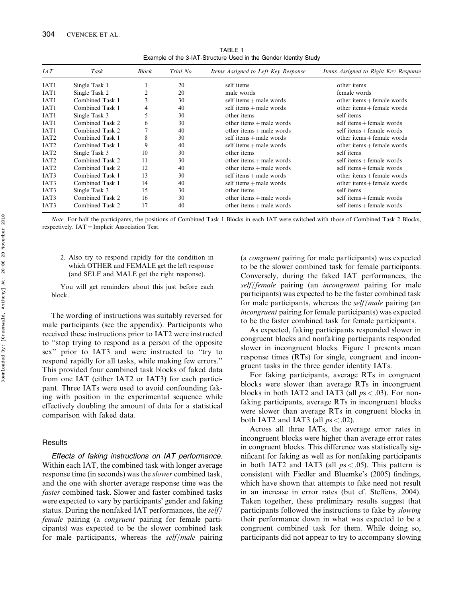TABLE 1 Example of the 3-IAT-Structure Used in the Gender Identity Study

| IAT              | Task            | <b>Block</b> | Trial No. | Items Assigned to Left Key Response | Items Assigned to Right Key Response |
|------------------|-----------------|--------------|-----------|-------------------------------------|--------------------------------------|
| IAT <sub>1</sub> | Single Task 1   |              | 20        | self items                          | other items                          |
| IAT <sub>1</sub> | Single Task 2   | 2            | 20        | male words                          | female words                         |
| IAT <sub>1</sub> | Combined Task 1 | 3            | 30        | self items $+$ male words           | other items $+$ female words         |
| IAT <sub>1</sub> | Combined Task 1 | 4            | 40        | self items $+$ male words           | other items $+$ female words         |
| IAT <sub>1</sub> | Single Task 3   | 5            | 30        | other items                         | self items                           |
| IAT <sub>1</sub> | Combined Task 2 | 6            | 30        | other items $+$ male words          | self items $+$ female words          |
| IAT <sub>1</sub> | Combined Task 2 |              | 40        | other items $+$ male words          | self items $+$ female words          |
| IAT <sub>2</sub> | Combined Task 1 | 8            | 30        | self items $+$ male words           | other items $+$ female words         |
| IAT <sub>2</sub> | Combined Task 1 | 9            | 40        | self items $+$ male words           | other items $+$ female words         |
| IAT <sub>2</sub> | Single Task 3   | 10           | 30        | other items                         | self items                           |
| IAT <sub>2</sub> | Combined Task 2 | 11           | 30        | other items $+$ male words          | self items $+$ female words          |
| IAT <sub>2</sub> | Combined Task 2 | 12           | 40        | other items $+$ male words          | self items $+$ female words          |
| IAT3             | Combined Task 1 | 13           | 30        | self items $+$ male words           | other items $+$ female words         |
| IAT3             | Combined Task 1 | 14           | 40        | self items $+$ male words           | other items $+$ female words         |
| IAT3             | Single Task 3   | 15           | 30        | other items                         | self items                           |
| IAT3             | Combined Task 2 | 16           | 30        | other items $+$ male words          | self items $+$ female words          |
| IAT3             | Combined Task 2 | 17           | 40        | other items $+$ male words          | self items $+$ female words          |

Note. For half the participants, the positions of Combined Task 1 Blocks in each IAT were switched with those of Combined Task 2 Blocks, respectively.  $IAT = Implicit Association Test$ .

## 2. Also try to respond rapidly for the condition in which OTHER and FEMALE get the left response (and SELF and MALE get the right response).

You will get reminders about this just before each block.

The wording of instructions was suitably reversed for male participants (see the appendix). Participants who received these instructions prior to IAT2 were instructed to ''stop trying to respond as a person of the opposite sex'' prior to IAT3 and were instructed to ''try to respond rapidly for all tasks, while making few errors.'' This provided four combined task blocks of faked data from one IAT (either IAT2 or IAT3) for each participant. Three IATs were used to avoid confounding faking with position in the experimental sequence while effectively doubling the amount of data for a statistical comparison with faked data.

## **Results**

Effects of faking instructions on IAT performance. Within each IAT, the combined task with longer average response time (in seconds) was the slower combined task, and the one with shorter average response time was the faster combined task. Slower and faster combined tasks were expected to vary by participants' gender and faking status. During the nonfaked IAT performances, the self/ female pairing (a congruent pairing for female participants) was expected to be the slower combined task for male participants, whereas the self/male pairing (a congruent pairing for male participants) was expected to be the slower combined task for female participants. Conversely, during the faked IAT performances, the self/female pairing (an incongruent pairing for male participants) was expected to be the faster combined task for male participants, whereas the  $self/male$  pairing (an incongruent pairing for female participants) was expected to be the faster combined task for female participants.

As expected, faking participants responded slower in congruent blocks and nonfaking participants responded slower in incongruent blocks. Figure 1 presents mean response times (RTs) for single, congruent and incongruent tasks in the three gender identity IATs.

For faking participants, average RTs in congruent blocks were slower than average RTs in incongruent blocks in both IAT2 and IAT3 (all  $ps < .03$ ). For nonfaking participants, average RTs in incongruent blocks were slower than average RTs in congruent blocks in both IAT2 and IAT3 (all  $ps < .02$ ).

Across all three IATs, the average error rates in incongruent blocks were higher than average error rates in congruent blocks. This difference was statistically significant for faking as well as for nonfaking participants in both IAT2 and IAT3 (all  $ps < .05$ ). This pattern is consistent with Fiedler and Bluemke's (2005) findings, which have shown that attempts to fake need not result in an increase in error rates (but cf. Steffens, 2004). Taken together, these preliminary results suggest that participants followed the instructions to fake by slowing their performance down in what was expected to be a congruent combined task for them. While doing so, participants did not appear to try to accompany slowing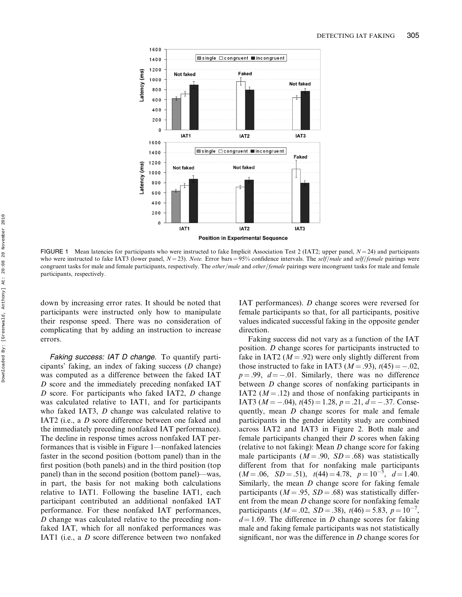

FIGURE 1 Mean latencies for participants who were instructed to fake Implicit Association Test 2 (IAT2; upper panel,  $N = 24$ ) and participants who were instructed to fake IAT3 (lower panel,  $N = 23$ ). Note. Error bars = 95% confidence intervals. The self/male and self/female pairings were congruent tasks for male and female participants, respectively. The *other /male* and *other* /female pairings were incongruent tasks for male and female participants, respectively.

down by increasing error rates. It should be noted that participants were instructed only how to manipulate their response speed. There was no consideration of complicating that by adding an instruction to increase errors.

Faking success: IAT D change. To quantify participants' faking, an index of faking success (D change) was computed as a difference between the faked IAT D score and the immediately preceding nonfaked IAT D score. For participants who faked IAT2, D change was calculated relative to IAT1, and for participants who faked IAT3, D change was calculated relative to IAT2 (i.e., a D score difference between one faked and the immediately preceding nonfaked IAT performance). The decline in response times across nonfaked IAT performances that is visible in Figure 1—nonfaked latencies faster in the second position (bottom panel) than in the first position (both panels) and in the third position (top panel) than in the second position (bottom panel)—was, in part, the basis for not making both calculations relative to IAT1. Following the baseline IAT1, each participant contributed an additional nonfaked IAT performance. For these nonfaked IAT performances, D change was calculated relative to the preceding nonfaked IAT, which for all nonfaked performances was IAT1 (i.e., a D score difference between two nonfaked IAT performances). D change scores were reversed for female participants so that, for all participants, positive values indicated successful faking in the opposite gender direction.

Faking success did not vary as a function of the IAT position. D change scores for participants instructed to fake in IAT2 ( $M = .92$ ) were only slightly different from those instructed to fake in IAT3 ( $M = .93$ ),  $t(45) = -.02$ .  $p = .99$ ,  $d = -.01$ . Similarly, there was no difference between D change scores of nonfaking participants in IAT2 ( $M = .12$ ) and those of nonfaking participants in IAT3 ( $M = -.04$ ),  $t(45) = 1.28$ ,  $p = .21$ ,  $d = -.37$ . Consequently, mean D change scores for male and female participants in the gender identity study are combined across IAT2 and IAT3 in Figure 2. Both male and female participants changed their D scores when faking (relative to not faking): Mean D change score for faking male participants ( $M = .90$ ,  $SD = .68$ ) was statistically different from that for nonfaking male participants  $(M = .06, SD = .51), t(44) = 4.78, p = 10^{-5}, d = 1.40.$ Similarly, the mean D change score for faking female participants ( $M = .95$ ,  $SD = .68$ ) was statistically different from the mean D change score for nonfaking female participants ( $M = .02$ ,  $SD = .38$ ),  $t(46) = 5.83$ ,  $p = 10^{-7}$ ,  $d = 1.69$ . The difference in D change scores for faking male and faking female participants was not statistically significant, nor was the difference in D change scores for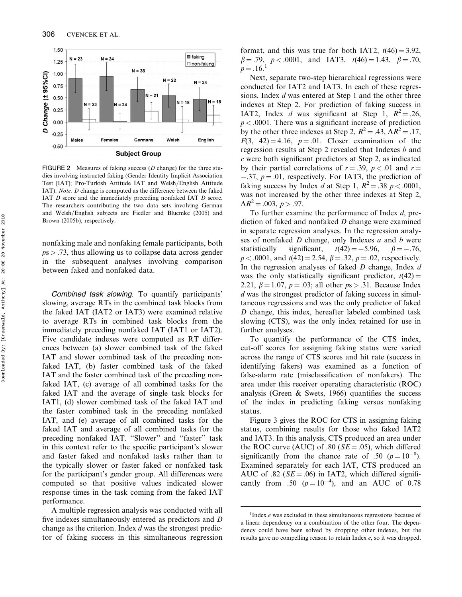

**FIGURE 2** Measures of faking success  $(D \text{ change})$  for the three studies involving instructed faking (Gender Identity Implicit Association Test [IAT]; Pro-Turkish Attitude IAT and Welsh/English Attitude IAT). Note. D change is computed as the difference between the faked IAT D score and the immediately preceding nonfaked IAT D score. The researchers contributing the two data sets involving German and Welsh/English subjects are Fiedler and Bluemke (2005) and Brown (2005b), respectively.

nonfaking male and nonfaking female participants, both  $ps > .73$ , thus allowing us to collapse data across gender in the subsequent analyses involving comparison between faked and nonfaked data.

Combined task slowing. To quantify participants' slowing, average RTs in the combined task blocks from the faked IAT (IAT2 or IAT3) were examined relative to average RTs in combined task blocks from the immediately preceding nonfaked IAT (IAT1 or IAT2). Five candidate indexes were computed as RT differences between (a) slower combined task of the faked IAT and slower combined task of the preceding nonfaked IAT, (b) faster combined task of the faked IAT and the faster combined task of the preceding nonfaked IAT, (c) average of all combined tasks for the faked IAT and the average of single task blocks for IAT1, (d) slower combined task of the faked IAT and the faster combined task in the preceding nonfaked IAT, and (e) average of all combined tasks for the faked IAT and average of all combined tasks for the preceding nonfaked IAT. ''Slower'' and ''faster'' task in this context refer to the specific participant's slower and faster faked and nonfaked tasks rather than to the typically slower or faster faked or nonfaked task for the participant's gender group. All differences were computed so that positive values indicated slower response times in the task coming from the faked IAT performance.

A multiple regression analysis was conducted with all five indexes simultaneously entered as predictors and D change as the criterion. Index d was the strongest predictor of faking success in this simultaneous regression format, and this was true for both IAT2,  $t(46) = 3.92$ ,  $\beta = .79$ ,  $p < .0001$ , and IAT3,  $t(46) = 1.43$ ,  $\beta = .70$ ,  $p = .16$ <sup>1</sup>

Next, separate two-step hierarchical regressions were conducted for IAT2 and IAT3. In each of these regressions, Index d was entered at Step 1 and the other three indexes at Step 2. For prediction of faking success in IAT2, Index d was significant at Step 1,  $R^2 = .26$ ,  $p < .0001$ . There was a significant increase of prediction by the other three indexes at Step 2,  $R^2 = .43$ ,  $\Delta R^2 = .17$ ,  $F(3, 42) = 4.16$ ,  $p = .01$ . Closer examination of the regression results at Step 2 revealed that Indexes b and c were both significant predictors at Step 2, as indicated by their partial correlations of  $r = .39$ ,  $p < .01$  and  $r =$  $-37$ ,  $p = .01$ , respectively. For IAT3, the prediction of faking success by Index d at Step 1,  $R^2 = .38 \, p < .0001$ , was not increased by the other three indexes at Step 2,  $\Delta R^2 = .003, p > .97.$ 

To further examine the performance of Index d, prediction of faked and nonfaked D change were examined in separate regression analyses. In the regression analyses of nonfaked  $D$  change, only Indexes  $a$  and  $b$  were statistically significant,  $t(42) = -5.96$ ,  $\beta = -.76$ ,  $p < .0001$ , and  $t(42) = 2.54$ ,  $\beta = .32$ ,  $p = .02$ , respectively. In the regression analyses of faked  $D$  change, Index  $d$ was the only statistically significant predictor,  $t(42)$  = 2.21,  $\beta = 1.07$ ,  $p = .03$ ; all other  $ps > .31$ . Because Index d was the strongest predictor of faking success in simultaneous regressions and was the only predictor of faked D change, this index, hereafter labeled combined task slowing (CTS), was the only index retained for use in further analyses.

To quantify the performance of the CTS index, cut-off scores for assigning faking status were varied across the range of CTS scores and hit rate (success in identifying fakers) was examined as a function of false-alarm rate (misclassification of nonfakers). The area under this receiver operating characteristic (ROC) analysis (Green & Swets, 1966) quantifies the success of the index in predicting faking versus nonfaking status.

Figure 3 gives the ROC for CTS in assigning faking status, combining results for those who faked IAT2 and IAT3. In this analysis, CTS produced an area under the ROC curve (AUC) of .80 ( $SE = .05$ ), which differed significantly from the chance rate of .50 ( $p = 10^{-8}$ ). Examined separately for each IAT, CTS produced an AUC of .82 ( $SE = .06$ ) in IAT2, which differed significantly from .50  $(p=10^{-4})$ , and an AUC of 0.78

<sup>&</sup>lt;sup>1</sup>Index e was excluded in these simultaneous regressions because of a linear dependency on a combination of the other four. The dependency could have been solved by dropping other indexes, but the results gave no compelling reason to retain Index e, so it was dropped.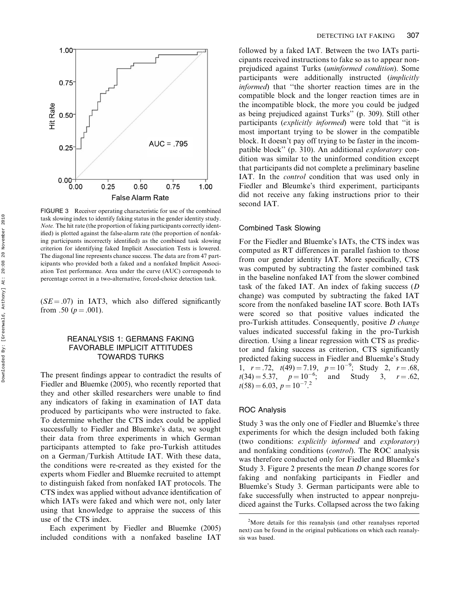

FIGURE 3 Receiver operating characteristic for use of the combined task slowing index to identify faking status in the gender identity study. Note. The hit rate (the proportion of faking participants correctly identified) is plotted against the false-alarm rate (the proportion of nonfaking participants incorrectly identified) as the combined task slowing criterion for identifying faked Implicit Association Tests is lowered. The diagonal line represents chance success. The data are from 47 participants who provided both a faked and a nonfaked Implicit Association Test performance. Area under the curve (AUC) corresponds to percentage correct in a two-alternative, forced-choice detection task.

 $(SE = .07)$  in IAT3, which also differed significantly from .50 ( $p = .001$ ).

## REANALYSIS 1: GERMANS FAKING FAVORABLE IMPLICIT ATTITUDES TOWARDS TURKS

The present findings appear to contradict the results of Fiedler and Bluemke (2005), who recently reported that they and other skilled researchers were unable to find any indicators of faking in examination of IAT data produced by participants who were instructed to fake. To determine whether the CTS index could be applied successfully to Fiedler and Bluemke's data, we sought their data from three experiments in which German participants attempted to fake pro-Turkish attitudes on a German/Turkish Attitude IAT. With these data, the conditions were re-created as they existed for the experts whom Fiedler and Bluemke recruited to attempt to distinguish faked from nonfaked IAT protocols. The CTS index was applied without advance identification of which IATs were faked and which were not, only later using that knowledge to appraise the success of this use of the CTS index.

Each experiment by Fiedler and Bluemke (2005) included conditions with a nonfaked baseline IAT

followed by a faked IAT. Between the two IATs participants received instructions to fake so as to appear nonprejudiced against Turks (uninformed condition). Some participants were additionally instructed (implicitly informed) that ''the shorter reaction times are in the compatible block and the longer reaction times are in the incompatible block, the more you could be judged as being prejudiced against Turks'' (p. 309). Still other participants (explicitly informed) were told that ''it is most important trying to be slower in the compatible block. It doesn't pay off trying to be faster in the incompatible block'' (p. 310). An additional exploratory condition was similar to the uninformed condition except that participants did not complete a preliminary baseline IAT. In the control condition that was used only in Fiedler and Bleumke's third experiment, participants did not receive any faking instructions prior to their second IAT.

## Combined Task Slowing

For the Fiedler and Bluemke's IATs, the CTS index was computed as RT differences in parallel fashion to those from our gender identity IAT. More specifically, CTS was computed by subtracting the faster combined task in the baseline nonfaked IAT from the slower combined task of the faked IAT. An index of faking success (D change) was computed by subtracting the faked IAT score from the nonfaked baseline IAT score. Both IATs were scored so that positive values indicated the pro-Turkish attitudes. Consequently, positive D change values indicated successful faking in the pro-Turkish direction. Using a linear regression with CTS as predictor and faking success as criterion, CTS significantly predicted faking success in Fiedler and Bluemke's Study 1,  $r = .72$ ,  $t(49) = 7.19$ ,  $p = 10^{-9}$ ; Study 2,  $r = .68$ ,  $t(34) = 5.37$ ,  $p = 10^{-6}$ ; and Study 3,  $r = .62$ ,  $t(58) = 6.03, p = 10^{-7}$ <sup>2</sup>

#### ROC Analysis

Study 3 was the only one of Fiedler and Bluemke's three experiments for which the design included both faking (two conditions: explicitly informed and exploratory) and nonfaking conditions (control). The ROC analysis was therefore conducted only for Fiedler and Bluemke's Study 3. Figure 2 presents the mean D change scores for faking and nonfaking participants in Fiedler and Bluemke's Study 3. German participants were able to fake successfully when instructed to appear nonprejudiced against the Turks. Collapsed across the two faking

<sup>&</sup>lt;sup>2</sup>More details for this reanalysis (and other reanalyses reported next) can be found in the original publications on which each reanalysis was based.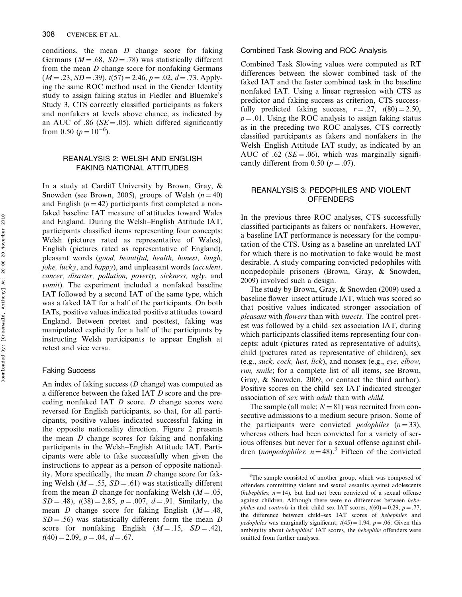conditions, the mean D change score for faking Germans ( $M = .68$ ,  $SD = .78$ ) was statistically different from the mean D change score for nonfaking Germans  $(M = .23, SD = .39), t(57) = 2.46, p = .02, d = .73$ . Applying the same ROC method used in the Gender Identity study to assign faking status in Fiedler and Bluemke's Study 3, CTS correctly classified participants as fakers and nonfakers at levels above chance, as indicated by an AUC of .86 ( $SE = .05$ ), which differed significantly from 0.50  $(p=10^{-6})$ .

## REANALYSIS 2: WELSH AND ENGLISH FAKING NATIONAL ATTITUDES

In a study at Cardiff University by Brown, Gray, & Snowden (see Brown, 2005), groups of Welsh  $(n = 40)$ and English ( $n = 42$ ) participants first completed a nonfaked baseline IAT measure of attitudes toward Wales and England. During the Welsh–English Attitude IAT, participants classified items representing four concepts: Welsh (pictures rated as representative of Wales), English (pictures rated as representative of England), pleasant words (good, beautiful, health, honest, laugh, joke, lucky, and happy), and unpleasant words (accident, cancer, disaster, pollution, poverty, sickness, ugly, and vomit). The experiment included a nonfaked baseline IAT followed by a second IAT of the same type, which was a faked IAT for a half of the participants. On both IATs, positive values indicated positive attitudes toward England. Between pretest and posttest, faking was manipulated explicitly for a half of the participants by instructing Welsh participants to appear English at retest and vice versa.

## Faking Success

An index of faking success  $(D \text{ change})$  was computed as a difference between the faked IAT D score and the preceding nonfaked IAT D score. D change scores were reversed for English participants, so that, for all participants, positive values indicated successful faking in the opposite nationality direction. Figure 2 presents the mean D change scores for faking and nonfaking participants in the Welsh–English Attitude IAT. Participants were able to fake successfully when given the instructions to appear as a person of opposite nationality. More specifically, the mean D change score for faking Welsh ( $M = .55$ ,  $SD = .61$ ) was statistically different from the mean D change for nonfaking Welsh ( $M = .05$ ,  $SD = .48$ ,  $t(38) = 2.85$ ,  $p = .007$ ,  $d = .91$ . Similarly, the mean D change score for faking English  $(M = .48, )$  $SD = .56$ ) was statistically different form the mean D score for nonfaking English  $(M = .15, SD = .42)$ ,  $t(40) = 2.09, p = .04, d = .67.$ 

#### Combined Task Slowing and ROC Analysis

Combined Task Slowing values were computed as RT differences between the slower combined task of the faked IAT and the faster combined task in the baseline nonfaked IAT. Using a linear regression with CTS as predictor and faking success as criterion, CTS successfully predicted faking success,  $r = .27$ ,  $t(80) = 2.50$ ,  $p = .01$ . Using the ROC analysis to assign faking status as in the preceding two ROC analyses, CTS correctly classified participants as fakers and nonfakers in the Welsh–English Attitude IAT study, as indicated by an AUC of .62 ( $SE = .06$ ), which was marginally significantly different from 0.50 ( $p = .07$ ).

## REANALYSIS 3: PEDOPHILES AND VIOLENT **OFFENDERS**

In the previous three ROC analyses, CTS successfully classified participants as fakers or nonfakers. However, a baseline IAT performance is necessary for the computation of the CTS. Using as a baseline an unrelated IAT for which there is no motivation to fake would be most desirable. A study comparing convicted pedophiles with nonpedophile prisoners (Brown, Gray, & Snowden, 2009) involved such a design.

The study by Brown, Gray, & Snowden (2009) used a baseline flower–insect attitude IAT, which was scored so that positive values indicated stronger association of pleasant with flowers than with insects. The control pretest was followed by a child–sex association IAT, during which participants classified items representing four concepts: adult (pictures rated as representative of adults), child (pictures rated as representative of children), sex (e.g., suck, cock, lust, lick), and nonsex (e.g., eye, elbow, run, smile; for a complete list of all items, see Brown, Gray, & Snowden, 2009, or contact the third author). Positive scores on the child–sex IAT indicated stronger association of sex with adult than with child.

The sample (all male;  $N = 81$ ) was recruited from consecutive admissions to a medium secure prison. Some of the participants were convicted *pedophiles*  $(n = 33)$ , whereas others had been convicted for a variety of serious offenses but never for a sexual offense against children (nonpedophiles;  $n = 48$ ).<sup>3</sup> Fifteen of the convicted

<sup>&</sup>lt;sup>3</sup>The sample consisted of another group, which was composed of offenders committing violent and sexual assaults against adolescents (hebephiles;  $n = 14$ ), but had not been convicted of a sexual offense against children. Although there were no differences between hebe*philes* and *controls* in their child–sex IAT scores,  $t(60) = 0.29$ ,  $p = .77$ , the difference between child–sex IAT scores of hebephiles and *pedophiles* was marginally significant,  $t(45) = 1.94$ ,  $p = .06$ . Given this ambiguity about hebephiles' IAT scores, the hebephile offenders were omitted from further analyses.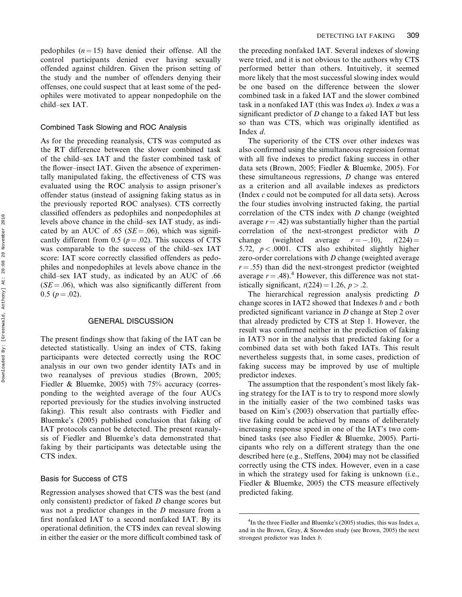pedophiles  $(n = 15)$  have denied their offense. All the control participants denied ever having sexually offended against children. Given the prison setting of the study and the number of offenders denying their offenses, one could suspect that at least some of the pedophiles were motivated to appear nonpedophile on the child–sex IAT.

#### Combined Task Slowing and ROC Analysis

As for the preceding reanalysis, CTS was computed as the RT difference between the slower combined task of the child–sex IAT and the faster combined task of the flower–insect IAT. Given the absence of experimentally manipulated faking, the effectiveness of CTS was evaluated using the ROC analysis to assign prisoner's offender status (instead of assigning faking status as in the previously reported ROC analyses). CTS correctly classified offenders as pedophiles and nonpedophiles at levels above chance in the child–sex IAT study, as indicated by an AUC of .65 ( $SE = .06$ ), which was significantly different from 0.5 ( $p = .02$ ). This success of CTS was comparable to the success of the child–sex IAT score: IAT score correctly classified offenders as pedophiles and nonpedophiles at levels above chance in the child–sex IAT study, as indicated by an AUC of .66  $(SE = .06)$ , which was also significantly different from  $0.5$   $(p=.02)$ .

#### GENERAL DISCUSSION

The present findings show that faking of the IAT can be detected statistically. Using an index of CTS, faking participants were detected correctly using the ROC analysis in our own two gender identity IATs and in two reanalyses of previous studies (Brown, 2005; Fiedler & Bluemke, 2005) with 75% accuracy (corresponding to the weighted average of the four AUCs reported previously for the studies involving instructed faking). This result also contrasts with Fiedler and Bluemke's (2005) published conclusion that faking of IAT protocols cannot be detected. The present reanalysis of Fiedler and Bluemke's data demonstrated that faking by their participants was detectable using the CTS index.

## Basis for Success of CTS

Regression analyses showed that CTS was the best (and only consistent) predictor of faked D change scores but was not a predictor changes in the D measure from a first nonfaked IAT to a second nonfaked IAT. By its operational definition, the CTS index can reveal slowing in either the easier or the more difficult combined task of the preceding nonfaked IAT. Several indexes of slowing were tried, and it is not obvious to the authors why CTS performed better than others. Intuitively, it seemed more likely that the most successful slowing index would be one based on the difference between the slower combined task in a faked IAT and the slower combined task in a nonfaked IAT (this was Index  $a$ ). Index  $a$  was a significant predictor of D change to a faked IAT but less so than was CTS, which was originally identified as Index d.

The superiority of the CTS over other indexes was also confirmed using the simultaneous regression format with all five indexes to predict faking success in other data sets (Brown, 2005; Fiedler & Bluemke, 2005). For these simultaneous regressions, D change was entered as a criterion and all available indexes as predictors (Index c could not be computed for all data sets). Across the four studies involving instructed faking, the partial correlation of the CTS index with D change (weighted average  $r = .42$ ) was substantially higher than the partial correlation of the next-strongest predictor with D change (weighted average  $r = -.10$ ),  $t(224) =$ 5.72,  $p < .0001$ . CTS also exhibited slightly higher zero-order correlations with D change (weighted average  $r = .55$ ) than did the next-strongest predictor (weighted average  $r = .48$ ).<sup>4</sup> However, this difference was not statistically significant,  $t(224) = 1.26$ ,  $p > .2$ .

The hierarchical regression analysis predicting D change scores in IAT2 showed that Indexes b and c both predicted significant variance in D change at Step 2 over that already predicted by CTS at Step 1. However, the result was confirmed neither in the prediction of faking in IAT3 nor in the analysis that predicted faking for a combined data set with both faked IATs. This result nevertheless suggests that, in some cases, prediction of faking success may be improved by use of multiple predictor indexes.

The assumption that the respondent's most likely faking strategy for the IAT is to try to respond more slowly in the initially easier of the two combined tasks was based on Kim's (2003) observation that partially effective faking could be achieved by means of deliberately increasing response speed in one of the IAT's two combined tasks (see also Fiedler & Bluemke, 2005). Participants who rely on a different strategy than the one described here (e.g., Steffens, 2004) may not be classified correctly using the CTS index. However, even in a case in which the strategy used for faking is unknown (i.e., Fiedler & Bluemke, 2005) the CTS measure effectively predicted faking.

<sup>&</sup>lt;sup>4</sup>In the three Fiedler and Bluemke's (2005) studies, this was Index  $a$ , and in the Brown, Gray, & Snowden study (see Brown, 2005) the next strongest predictor was Index b.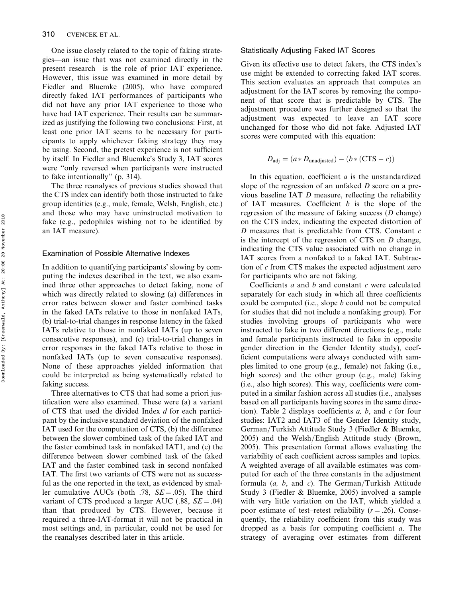One issue closely related to the topic of faking strategies—an issue that was not examined directly in the present research—is the role of prior IAT experience. However, this issue was examined in more detail by Fiedler and Bluemke (2005), who have compared directly faked IAT performances of participants who did not have any prior IAT experience to those who have had IAT experience. Their results can be summarized as justifying the following two conclusions: First, at least one prior IAT seems to be necessary for participants to apply whichever faking strategy they may be using. Second, the pretest experience is not sufficient by itself: In Fiedler and Bluemke's Study 3, IAT scores were ''only reversed when participants were instructed to fake intentionally'' (p. 314).

The three reanalyses of previous studies showed that the CTS index can identify both those instructed to fake group identities (e.g., male, female, Welsh, English, etc.) and those who may have uninstructed motivation to fake (e.g., pedophiles wishing not to be identified by an IAT measure).

## Examination of Possible Alternative Indexes

In addition to quantifying participants' slowing by computing the indexes described in the text, we also examined three other approaches to detect faking, none of which was directly related to slowing (a) differences in error rates between slower and faster combined tasks in the faked IATs relative to those in nonfaked IATs, (b) trial-to-trial changes in response latency in the faked IATs relative to those in nonfaked IATs (up to seven consecutive responses), and (c) trial-to-trial changes in error responses in the faked IATs relative to those in nonfaked IATs (up to seven consecutive responses). None of these approaches yielded information that could be interpreted as being systematically related to faking success.

Three alternatives to CTS that had some a priori justification were also examined. These were (a) a variant of CTS that used the divided Index d for each participant by the inclusive standard deviation of the nonfaked IAT used for the computation of CTS, (b) the difference between the slower combined task of the faked IAT and the faster combined task in nonfaked IAT1, and (c) the difference between slower combined task of the faked IAT and the faster combined task in second nonfaked IAT. The first two variants of CTS were not as successful as the one reported in the text, as evidenced by smaller cumulative AUCs (both .78,  $SE = .05$ ). The third variant of CTS produced a larger AUC (.88,  $SE = .04$ ) than that produced by CTS. However, because it required a three-IAT-format it will not be practical in most settings and, in particular, could not be used for the reanalyses described later in this article.

#### Statistically Adjusting Faked IAT Scores

Given its effective use to detect fakers, the CTS index's use might be extended to correcting faked IAT scores. This section evaluates an approach that computes an adjustment for the IAT scores by removing the component of that score that is predictable by CTS. The adjustment procedure was further designed so that the adjustment was expected to leave an IAT score unchanged for those who did not fake. Adjusted IAT scores were computed with this equation:

$$
D_{\text{adj}} = (a * D_{\text{unadjusted}}) - (b * (CTS - c))
$$

In this equation, coefficient  $a$  is the unstandardized slope of the regression of an unfaked D score on a previous baseline IAT D measure, reflecting the reliability of IAT measures. Coefficient  $b$  is the slope of the regression of the measure of faking success  $(D \text{ change})$ on the CTS index, indicating the expected distortion of  $D$  measures that is predictable from CTS. Constant  $c$ is the intercept of the regression of CTS on D change, indicating the CTS value associated with no change in IAT scores from a nonfaked to a faked IAT. Subtraction of c from CTS makes the expected adjustment zero for participants who are not faking.

Coefficients  $a$  and  $b$  and constant  $c$  were calculated separately for each study in which all three coefficients could be computed (i.e., slope b could not be computed for studies that did not include a nonfaking group). For studies involving groups of participants who were instructed to fake in two different directions (e.g., male and female participants instructed to fake in opposite gender direction in the Gender Identity study), coefficient computations were always conducted with samples limited to one group (e.g., female) not faking (i.e., high scores) and the other group (e.g., male) faking (i.e., also high scores). This way, coefficients were computed in a similar fashion across all studies (i.e., analyses based on all participants having scores in the same direction). Table 2 displays coefficients  $a, b$ , and  $c$  for four studies: IAT2 and IAT3 of the Gender Identity study, German/Turkish Attitude Study 3 (Fiedler & Bluemke,  $2005$ ) and the Welsh/English Attitude study (Brown, 2005). This presentation format allows evaluating the variability of each coefficient across samples and topics. A weighted average of all available estimates was computed for each of the three constants in the adjustment formula  $(a, b, \text{ and } c)$ . The German/Turkish Attitude Study 3 (Fiedler & Bluemke, 2005) involved a sample with very little variation on the IAT, which yielded a poor estimate of test–retest reliability ( $r = .26$ ). Consequently, the reliability coefficient from this study was dropped as a basis for computing coefficient a. The strategy of averaging over estimates from different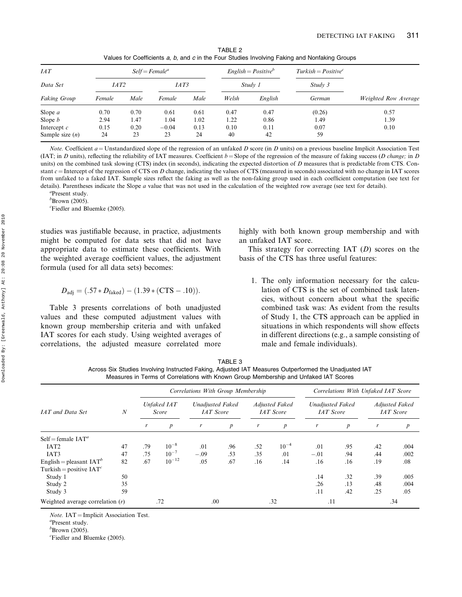| IAT                 |        |      | $Self = Femalea$ |      | $English = Positiveb$ |         | $Turkish = Positivec$ |                      |  |  |
|---------------------|--------|------|------------------|------|-----------------------|---------|-----------------------|----------------------|--|--|
| Data Set            | IAT2   |      | IAT3             |      | Study 1               |         | Study 3               |                      |  |  |
| <b>Faking Group</b> | Female | Male | Female           | Male | Welsh                 | English | German                | Weighted Row Average |  |  |
| Slope $a$           | 0.70   | 0.70 | 0.61             | 0.61 | 0.47                  | 0.47    | (0.26)                | 0.57                 |  |  |
| Slope $b$           | 2.94   | 1.47 | 1.04             | 1.02 | 1.22                  | 0.86    | 1.49                  | 1.39                 |  |  |
| Intercept $c$       | 0.15   | 0.20 | $-0.04$          | 0.13 | 0.10                  | 0.11    | 0.07                  | 0.10                 |  |  |
| Sample size $(n)$   | 24     | 23   | 23               | 24   | 40                    | 42      | 59                    |                      |  |  |

TABLE 2 Values for Coefficients a, b, and c in the Four Studies Involving Faking and Nonfaking Groups

*Note.* Coefficient  $a =$  Unstandardized slope of the regression of an unfaked D score (in D units) on a previous baseline Implicit Association Test (IAT; in D units), reflecting the reliability of IAT measures. Coefficient  $b =$  Slope of the regression of the measure of faking success (D change; in D units) on the combined task slowing (CTS) index (in seconds), indicating the expected distortion of D measures that is predictable from CTS. Constant  $c =$  Intercept of the regression of CTS on D change, indicating the values of CTS (measured in seconds) associated with no change in IAT scores from unfaked to a faked IAT. Sample sizes reflect the faking as well as the non-faking group used in each coefficient computation (see text for details). Parentheses indicate the Slope  $a$  value that was not used in the calculation of the weighted row average (see text for details).

Present study.

 $b^b$ Brown (2005).

c Fiedler and Bluemke (2005).

studies was justifiable because, in practice, adjustments might be computed for data sets that did not have appropriate data to estimate these coefficients. With the weighted average coefficient values, the adjustment formula (used for all data sets) becomes:

$$
D_{\text{adj}} = (.57 * D_{\text{faked}}) - (1.39 * (CTS - .10)).
$$

Table 3 presents correlations of both unadjusted values and these computed adjustment values with wn group membership criteria and with unfaked I scores for each study. Using weighted averages of relations, the adjusted measure correlated more

highly with both known group membership and with an unfaked IAT score.

This strategy for correcting IAT  $(D)$  scores on the basis of the CTS has three useful features:

1. The only information necessary for the calculation of CTS is the set of combined task latencies, without concern about what the specific combined task was: As evident from the results of Study 1, the CTS approach can be applied in situations in which respondents will show effects in different directions (e.g., a sample consisting of male and female individuals).

|                                        | $\mathbf T$         |
|----------------------------------------|---------------------|
|                                        | valu                |
|                                        | kno                 |
|                                        | <b>IAT</b>          |
|                                        | corr                |
|                                        |                     |
| Downloaded By: [Greenwald, Anthony] At |                     |
|                                        |                     |
|                                        | ÷<br>$\overline{a}$ |

TABLE 3 Across Six Studies Involving Instructed Faking, Adjusted IAT Measures Outperformed the Unadjusted IAT Measures in Terms of Correlations with Known Group Membership and Unfaked IAT Scores

|                                    | $\boldsymbol{N}$ | Correlations With Group Membership |                  |                                      |                  |                                           |                  | Correlations With Unfaked IAT Score         |                  |                                    |                  |
|------------------------------------|------------------|------------------------------------|------------------|--------------------------------------|------------------|-------------------------------------------|------------------|---------------------------------------------|------------------|------------------------------------|------------------|
| IAT and Data Set                   |                  | Unfaked IAT<br><b>Score</b>        |                  | Unadjusted Faked<br><b>IAT</b> Score |                  | <b>Adjusted Faked</b><br><b>IAT</b> Score |                  | <b>Unadjusted Faked</b><br><b>IAT</b> Score |                  | Adjusted Faked<br><b>IAT</b> Score |                  |
|                                    |                  | r                                  | $\boldsymbol{p}$ | r                                    | $\boldsymbol{p}$ | r                                         | $\boldsymbol{p}$ | r                                           | $\boldsymbol{p}$ | r                                  | $\boldsymbol{p}$ |
| Self = female $IAT^a$              |                  |                                    |                  |                                      |                  |                                           |                  |                                             |                  |                                    |                  |
| IAT <sub>2</sub>                   | 47               | .79                                | $10^{-8}$        | .01                                  | .96              | .52                                       | $10^{-4}$        | .01                                         | .95              | .42                                | .004             |
| IAT3                               | 47               | .75                                | $10^{-7}$        | $-.09$                               | .53              | .35                                       | .01              | $-.01$                                      | .94              | .44                                | .002             |
| English = pleasant $IAT^b$         | 82               | .67                                | $10^{-12}$       | .05                                  | .67              | .16                                       | .14              | .16                                         | .16              | .19                                | .08              |
| Turkish = positive $IATc$          |                  |                                    |                  |                                      |                  |                                           |                  |                                             |                  |                                    |                  |
| Study 1                            | 50               |                                    |                  |                                      |                  |                                           |                  | .14                                         | .32              | .39                                | .005             |
| Study 2                            | 35               |                                    |                  |                                      |                  |                                           |                  | .26                                         | .13              | .48                                | .004             |
| Study 3                            | 59               |                                    |                  |                                      |                  |                                           |                  | .11                                         | .42              | .25                                | .05              |
| Weighted average correlation $(r)$ |                  |                                    | .72              | .00                                  |                  |                                           | .32              | .11                                         |                  |                                    | .34              |

 $Note. IAT = Implicit Association Test.$ 

Present study.

 ${}^b$ Brown (2005).

c Fiedler and Bluemke (2005).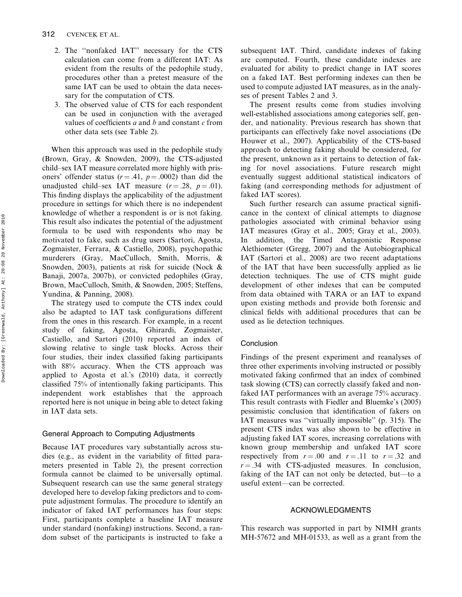- 2. The ''nonfaked IAT'' necessary for the CTS calculation can come from a different IAT: As evident from the results of the pedophile study, procedures other than a pretest measure of the same IAT can be used to obtain the data necessary for the computation of CTS.
- 3. The observed value of CTS for each respondent can be used in conjunction with the averaged values of coefficients  $a$  and  $b$  and constant  $c$  from other data sets (see Table 2).

When this approach was used in the pedophile study (Brown, Gray, & Snowden, 2009), the CTS-adjusted child–sex IAT measure correlated more highly with prisoners' offender status ( $r = .41$ ,  $p = .0002$ ) than did the unadjusted child–sex IAT measure  $(r=.28, p=.01)$ . This finding displays the applicability of the adjustment procedure in settings for which there is no independent knowledge of whether a respondent is or is not faking. This result also indicates the potential of the adjustment formula to be used with respondents who may be motivated to fake, such as drug users (Sartori, Agosta, Zogmaister, Ferrara, & Castiello, 2008), psychopathic murderers (Gray, MacCulloch, Smith, Morris, & Snowden, 2003), patients at risk for suicide (Nock & Banaji, 2007a, 2007b), or convicted pedophiles (Gray, Brown, MacCulloch, Smith, & Snowden, 2005; Steffens, Yundina, & Panning, 2008).

The strategy used to compute the CTS index could also be adapted to IAT task configurations different from the ones in this research. For example, in a recent study of faking, Agosta, Ghirardi, Zogmaister, Castiello, and Sartori (2010) reported an index of slowing relative to single task blocks. Across their four studies, their index classified faking participants with 88% accuracy. When the CTS approach was applied to Agosta et al.'s (2010) data, it correctly classified 75% of intentionally faking participants. This independent work establishes that the approach reported here is not unique in being able to detect faking in IAT data sets.

## General Approach to Computing Adjustments

Because IAT procedures vary substantially across studies (e.g., as evident in the variability of fitted parameters presented in Table 2), the present correction formula cannot be claimed to be universally optimal. Subsequent research can use the same general strategy developed here to develop faking predictors and to compute adjustment formulas. The procedure to identify an indicator of faked IAT performances has four steps: First, participants complete a baseline IAT measure under standard (nonfaking) instructions. Second, a random subset of the participants is instructed to fake a subsequent IAT. Third, candidate indexes of faking are computed. Fourth, these candidate indexes are evaluated for ability to predict change in IAT scores on a faked IAT. Best performing indexes can then be used to compute adjusted IAT measures, as in the analyses of present Tables 2 and 3.

The present results come from studies involving well-established associations among categories self, gender, and nationality. Previous research has shown that participants can effectively fake novel associations (De Houwer et al., 2007). Applicability of the CTS-based approach to detecting faking should be considered, for the present, unknown as it pertains to detection of faking for novel associations. Future research might eventually suggest additional statistical indicators of faking (and corresponding methods for adjustment of faked IAT scores).

Such further research can assume practical significance in the context of clinical attempts to diagnose pathologies associated with criminal behavior using IAT measures (Gray et al., 2005; Gray et al., 2003). In addition, the Timed Antagonistic Response Alethiometer (Gregg, 2007) and the Autobiographical IAT (Sartori et al., 2008) are two recent adaptations of the IAT that have been successfully applied as lie detection techniques. The use of CTS might guide development of other indexes that can be computed from data obtained with TARA or an IAT to expand upon existing methods and provide both forensic and clinical fields with additional procedures that can be used as lie detection techniques.

## Conclusion

Findings of the present experiment and reanalyses of three other experiments involving instructed or possibly motivated faking confirmed that an index of combined task slowing (CTS) can correctly classify faked and nonfaked IAT performances with an average 75% accuracy. This result contrasts with Fiedler and Bluemke's (2005) pessimistic conclusion that identification of fakers on IAT measures was ''virtually impossible'' (p. 315). The present CTS index was also shown to be effective in adjusting faked IAT scores, increasing correlations with known group membership and unfaked IAT score respectively from  $r = .00$  and  $r = .11$  to  $r = .32$  and  $r = .34$  with CTS-adjusted measures. In conclusion, faking of the IAT can not only be detected, but—to a useful extent—can be corrected.

#### ACKNOWLEDGMENTS

This research was supported in part by NIMH grants MH-57672 and MH-01533, as well as a grant from the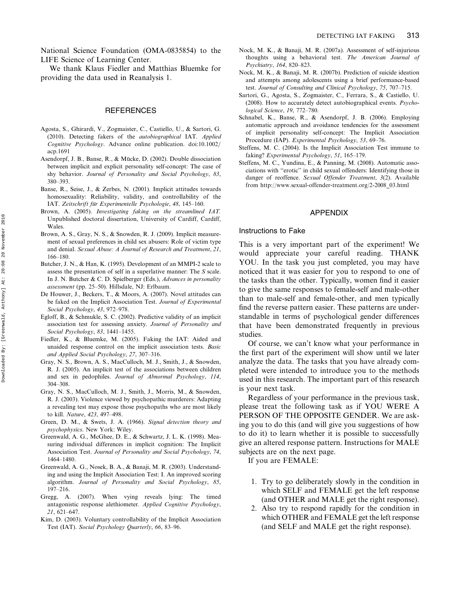National Science Foundation (OMA-0835854) to the LIFE Science of Learning Center.

We thank Klaus Fiedler and Matthias Bluemke for providing the data used in Reanalysis 1.

#### REFERENCES

- Agosta, S., Ghirardi, V., Zogmaister, C., Castiello, U., & Sartori, G. (2010). Detecting fakers of the autobiographical IAT. Applied Cognitive Psychology. Advance online publication. doi:10.1002/ acp.1691
- Asendorpf, J. B., Banse, R., & Mücke, D. (2002). Double dissociation between implicit and explicit personality self-concept: The case of shy behavior. Journal of Personality and Social Psychology, 83, 380–393.
- Banse, R., Seise, J., & Zerbes, N. (2001). Implicit attitudes towards homosexuality: Reliability, validity, and controllability of the IAT. Zeitschrift für Experimentelle Psychologie, 48, 145–160.
- Brown, A. (2005). Investigating faking on the streamlined IAT. Unpublished doctoral dissertation, University of Cardiff, Cardiff, Wales.
- Brown, A. S., Gray, N. S., & Snowden, R. J. (2009). Implicit measurement of sexual preferences in child sex abusers: Role of victim type and denial. Sexual Abuse: A Journal of Research and Treatment, 21, 166–180.
- Butcher, J. N., & Han, K. (1995). Development of an MMPI-2 scale to assess the presentation of self in a superlative manner: The S scale. In J. N. Butcher & C. D. Spielberger (Eds.), Advances in personality assessment (pp. 25–50). Hillsdale, NJ: Erlbaum.
- De Houwer, J., Beckers, T., & Moors, A. (2007). Novel attitudes can be faked on the Implicit Association Test. Journal of Experimental Social Psychology, 43, 972–978.
- Egloff, B., & Schmukle, S. C. (2002). Predictive validity of an implicit association test for assessing anxiety. Journal of Personality and Social Psychology, 83, 1441–1455.
- Fiedler, K., & Bluemke, M. (2005). Faking the IAT: Aided and unaided response control on the implicit association tests. Basic and Applied Social Psychology, 27, 307–316.
- Gray, N. S., Brown, A. S., MacCulloch, M. J., Smith, J., & Snowden, R. J. (2005). An implicit test of the associations between children and sex in pedophiles. Journal of Abnormal Psychology, 114, 304–308.
- Gray, N. S., MacCulloch, M. J., Smith, J., Morris, M., & Snowden, R. J. (2003). Violence viewed by psychopathic murderers: Adapting a revealing test may expose those psychopaths who are most likely to kill. Nature, 423, 497–498.
- Green, D. M., & Swets, J. A. (1966). Signal detection theory and psychophysics. New York: Wiley.
- Greenwald, A. G., McGhee, D. E., & Schwartz, J. L. K. (1998). Measuring individual differences in implicit cognition: The Implicit Association Test. Journal of Personality and Social Psychology, 74, 1464–1480.
- Greenwald, A. G., Nosek, B. A., & Banaji, M. R. (2003). Understanding and using the Implicit Association Test: I. An improved scoring algorithm. Journal of Personality and Social Psychology, 85, 197–216.
- Gregg, A. (2007). When vying reveals lying: The timed antagonistic response alethiometer. Applied Cognitive Psychology, 21, 621–647.
- Kim, D. (2003). Voluntary controllability of the Implicit Association Test (IAT). Social Psychology Quarterly, 66, 83–96.
- Nock, M. K., & Banaji, M. R. (2007a). Assessment of self-injurious thoughts using a behavioral test. The American Journal of Psychiatry, 164, 820–823.
- Nock, M. K., & Banaji, M. R. (2007b). Prediction of suicide ideation and attempts among adolescents using a brief performance-based test. Journal of Consulting and Clinical Psychology, 75, 707–715.
- Sartori, G., Agosta, S., Zogmaister, C., Ferrara, S., & Castiello, U. (2008). How to accurately detect autobiographical events. Psychological Science, 19, 772–780.
- Schnabel, K., Banse, R., & Asendorpf, J. B. (2006). Employing automatic approach and avoidance tendencies for the assessment of implicit personality self-concept: The Implicit Association Procedure (IAP). Experimental Psychology, 53, 69–76.
- Steffens, M. C. (2004). Is the Implicit Association Test immune to faking? Experimental Psychology, 51, 165-179.
- Steffens, M. C., Yundina, E., & Panning, M. (2008). Automatic associations with ''erotic'' in child sexual offenders: Identifying those in danger of reoffence. Sexual Offender Treatment, 3(2). Available from http://www.sexual-offender-treatment.org/2-2008\_03.html

#### APPENDIX

#### Instructions to Fake

This is a very important part of the experiment! We would appreciate your careful reading. THANK YOU. In the task you just completed, you may have noticed that it was easier for you to respond to one of the tasks than the other. Typically, women find it easier to give the same responses to female-self and male-other than to male-self and female-other, and men typically find the reverse pattern easier. These patterns are understandable in terms of psychological gender differences that have been demonstrated frequently in previous studies.

Of course, we can't know what your performance in the first part of the experiment will show until we later analyze the data. The tasks that you have already completed were intended to introduce you to the methods used in this research. The important part of this research is your next task.

Regardless of your performance in the previous task, please treat the following task as if YOU WERE A PERSON OF THE OPPOSITE GENDER. We are asking you to do this (and will give you suggestions of how to do it) to learn whether it is possible to successfully give an altered response pattern. Instructions for MALE subjects are on the next page.

If you are FEMALE:

- 1. Try to go deliberately slowly in the condition in which SELF and FEMALE get the left response (and OTHER and MALE get the right response).
- 2. Also try to respond rapidly for the condition in which OTHER and FEMALE get the left response (and SELF and MALE get the right response).